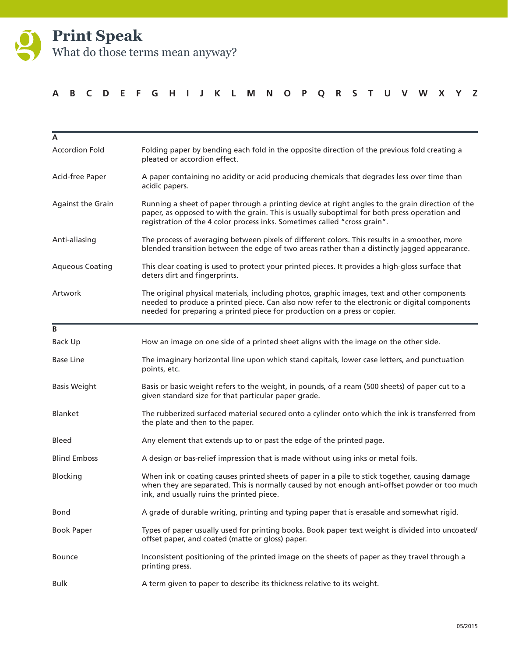

#### **A B C D E F G H I J K L M N O P Q R S T U V W X Y Z**

| A                      |                                                                                                                                                                                                                                                                               |
|------------------------|-------------------------------------------------------------------------------------------------------------------------------------------------------------------------------------------------------------------------------------------------------------------------------|
| <b>Accordion Fold</b>  | Folding paper by bending each fold in the opposite direction of the previous fold creating a<br>pleated or accordion effect.                                                                                                                                                  |
| Acid-free Paper        | A paper containing no acidity or acid producing chemicals that degrades less over time than<br>acidic papers.                                                                                                                                                                 |
| Against the Grain      | Running a sheet of paper through a printing device at right angles to the grain direction of the<br>paper, as opposed to with the grain. This is usually suboptimal for both press operation and<br>registration of the 4 color process inks. Sometimes called "cross grain". |
| Anti-aliasing          | The process of averaging between pixels of different colors. This results in a smoother, more<br>blended transition between the edge of two areas rather than a distinctly jagged appearance.                                                                                 |
| <b>Aqueous Coating</b> | This clear coating is used to protect your printed pieces. It provides a high-gloss surface that<br>deters dirt and fingerprints.                                                                                                                                             |
| Artwork                | The original physical materials, including photos, graphic images, text and other components<br>needed to produce a printed piece. Can also now refer to the electronic or digital components<br>needed for preparing a printed piece for production on a press or copier.    |
| B                      |                                                                                                                                                                                                                                                                               |
| Back Up                | How an image on one side of a printed sheet aligns with the image on the other side.                                                                                                                                                                                          |
| <b>Base Line</b>       | The imaginary horizontal line upon which stand capitals, lower case letters, and punctuation<br>points, etc.                                                                                                                                                                  |
| <b>Basis Weight</b>    | Basis or basic weight refers to the weight, in pounds, of a ream (500 sheets) of paper cut to a<br>given standard size for that particular paper grade.                                                                                                                       |
| Blanket                | The rubberized surfaced material secured onto a cylinder onto which the ink is transferred from<br>the plate and then to the paper.                                                                                                                                           |
| <b>Bleed</b>           | Any element that extends up to or past the edge of the printed page.                                                                                                                                                                                                          |
| <b>Blind Emboss</b>    | A design or bas-relief impression that is made without using inks or metal foils.                                                                                                                                                                                             |
| Blocking               | When ink or coating causes printed sheets of paper in a pile to stick together, causing damage<br>when they are separated. This is normally caused by not enough anti-offset powder or too much<br>ink, and usually ruins the printed piece.                                  |
| Bond                   | A grade of durable writing, printing and typing paper that is erasable and somewhat rigid.                                                                                                                                                                                    |
| <b>Book Paper</b>      | Types of paper usually used for printing books. Book paper text weight is divided into uncoated/<br>offset paper, and coated (matte or gloss) paper.                                                                                                                          |
| <b>Bounce</b>          | Inconsistent positioning of the printed image on the sheets of paper as they travel through a<br>printing press.                                                                                                                                                              |
| <b>Bulk</b>            | A term given to paper to describe its thickness relative to its weight.                                                                                                                                                                                                       |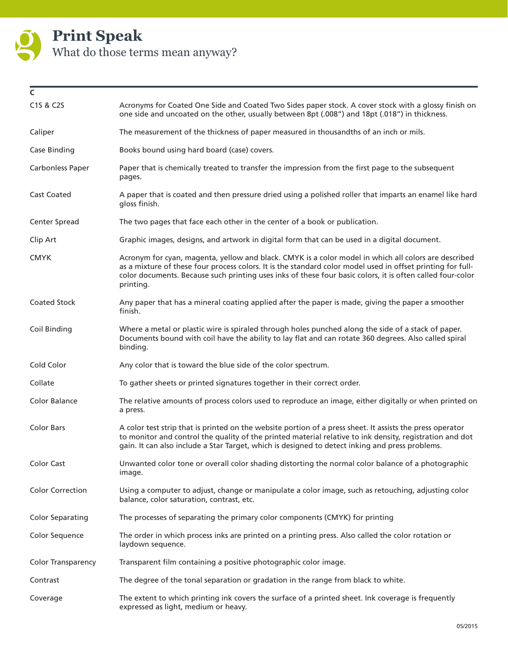

| C                         |                                                                                                                                                                                                                                                                                                                                                |
|---------------------------|------------------------------------------------------------------------------------------------------------------------------------------------------------------------------------------------------------------------------------------------------------------------------------------------------------------------------------------------|
| C1S & C2S                 | Acronyms for Coated One Side and Coated Two Sides paper stock. A cover stock with a glossy finish on<br>one side and uncoated on the other, usually between 8pt (.008") and 18pt (.018") in thickness.                                                                                                                                         |
| Caliper                   | The measurement of the thickness of paper measured in thousandths of an inch or mils.                                                                                                                                                                                                                                                          |
| Case Binding              | Books bound using hard board (case) covers.                                                                                                                                                                                                                                                                                                    |
| Carbonless Paper          | Paper that is chemically treated to transfer the impression from the first page to the subsequent<br>pages.                                                                                                                                                                                                                                    |
| <b>Cast Coated</b>        | A paper that is coated and then pressure dried using a polished roller that imparts an enamel like hard<br>gloss finish.                                                                                                                                                                                                                       |
| Center Spread             | The two pages that face each other in the center of a book or publication.                                                                                                                                                                                                                                                                     |
| Clip Art                  | Graphic images, designs, and artwork in digital form that can be used in a digital document.                                                                                                                                                                                                                                                   |
| <b>CMYK</b>               | Acronym for cyan, magenta, yellow and black. CMYK is a color model in which all colors are described<br>as a mixture of these four process colors. It is the standard color model used in offset printing for full-<br>color documents. Because such printing uses inks of these four basic colors, it is often called four-color<br>printing. |
| <b>Coated Stock</b>       | Any paper that has a mineral coating applied after the paper is made, giving the paper a smoother<br>finish.                                                                                                                                                                                                                                   |
| Coil Binding              | Where a metal or plastic wire is spiraled through holes punched along the side of a stack of paper.<br>Documents bound with coil have the ability to lay flat and can rotate 360 degrees. Also called spiral<br>binding.                                                                                                                       |
| Cold Color                | Any color that is toward the blue side of the color spectrum.                                                                                                                                                                                                                                                                                  |
| Collate                   | To gather sheets or printed signatures together in their correct order.                                                                                                                                                                                                                                                                        |
| Color Balance             | The relative amounts of process colors used to reproduce an image, either digitally or when printed on<br>a press.                                                                                                                                                                                                                             |
| <b>Color Bars</b>         | A color test strip that is printed on the website portion of a press sheet. It assists the press operator<br>to monitor and control the quality of the printed material relative to ink density, registration and dot<br>gain. It can also include a Star Target, which is designed to detect inking and press problems.                       |
| <b>Color Cast</b>         | Unwanted color tone or overall color shading distorting the normal color balance of a photographic<br>image.                                                                                                                                                                                                                                   |
| <b>Color Correction</b>   | Using a computer to adjust, change or manipulate a color image, such as retouching, adjusting color<br>balance, color saturation, contrast, etc.                                                                                                                                                                                               |
| <b>Color Separating</b>   | The processes of separating the primary color components (CMYK) for printing                                                                                                                                                                                                                                                                   |
| Color Sequence            | The order in which process inks are printed on a printing press. Also called the color rotation or<br>laydown sequence.                                                                                                                                                                                                                        |
| <b>Color Transparency</b> | Transparent film containing a positive photographic color image.                                                                                                                                                                                                                                                                               |
| Contrast                  | The degree of the tonal separation or gradation in the range from black to white.                                                                                                                                                                                                                                                              |
| Coverage                  | The extent to which printing ink covers the surface of a printed sheet. Ink coverage is frequently<br>expressed as light, medium or heavy.                                                                                                                                                                                                     |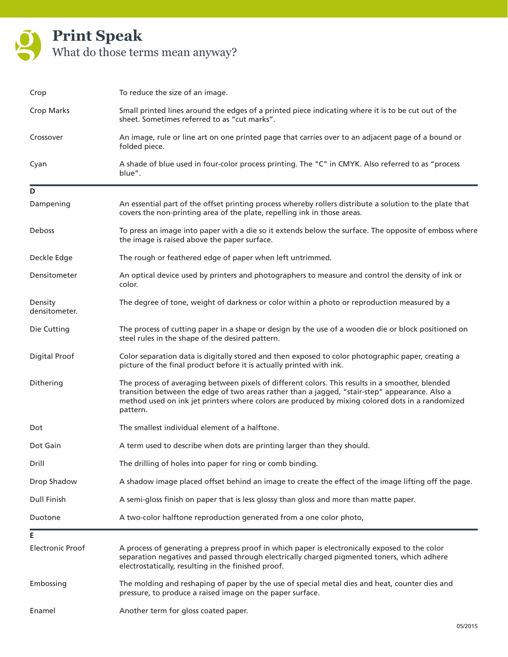

| Crop                     | To reduce the size of an image.                                                                                                                                                                                                                                                                                    |
|--------------------------|--------------------------------------------------------------------------------------------------------------------------------------------------------------------------------------------------------------------------------------------------------------------------------------------------------------------|
| Crop Marks               | Small printed lines around the edges of a printed piece indicating where it is to be cut out of the<br>sheet. Sometimes referred to as "cut marks".                                                                                                                                                                |
| Crossover                | An image, rule or line art on one printed page that carries over to an adjacent page of a bound or<br>folded piece.                                                                                                                                                                                                |
| Cyan                     | A shade of blue used in four-color process printing. The "C" in CMYK. Also referred to as "process<br>blue".                                                                                                                                                                                                       |
| D                        |                                                                                                                                                                                                                                                                                                                    |
| Dampening                | An essential part of the offset printing process whereby rollers distribute a solution to the plate that<br>covers the non-printing area of the plate, repelling ink in those areas.                                                                                                                               |
| Deboss                   | To press an image into paper with a die so it extends below the surface. The opposite of emboss where<br>the image is raised above the paper surface.                                                                                                                                                              |
| Deckle Edge              | The rough or feathered edge of paper when left untrimmed.                                                                                                                                                                                                                                                          |
| Densitometer             | An optical device used by printers and photographers to measure and control the density of ink or<br>color.                                                                                                                                                                                                        |
| Density<br>densitometer. | The degree of tone, weight of darkness or color within a photo or reproduction measured by a                                                                                                                                                                                                                       |
| Die Cutting              | The process of cutting paper in a shape or design by the use of a wooden die or block positioned on<br>steel rules in the shape of the desired pattern.                                                                                                                                                            |
| <b>Digital Proof</b>     | Color separation data is digitally stored and then exposed to color photographic paper, creating a<br>picture of the final product before it is actually printed with ink.                                                                                                                                         |
| Dithering                | The process of averaging between pixels of different colors. This results in a smoother, blended<br>transition between the edge of two areas rather than a jagged, "stair-step" appearance. Also a<br>method used on ink jet printers where colors are produced by mixing colored dots in a randomized<br>pattern. |
| Dot                      | The smallest individual element of a halftone.                                                                                                                                                                                                                                                                     |
| Dot Gain                 | A term used to describe when dots are printing larger than they should.                                                                                                                                                                                                                                            |
| Drill                    | The drilling of holes into paper for ring or comb binding.                                                                                                                                                                                                                                                         |
| Drop Shadow              | A shadow image placed offset behind an image to create the effect of the image lifting off the page.                                                                                                                                                                                                               |
| <b>Dull Finish</b>       | A semi-gloss finish on paper that is less glossy than gloss and more than matte paper.                                                                                                                                                                                                                             |
| Duotone                  | A two-color halftone reproduction generated from a one color photo,                                                                                                                                                                                                                                                |
| Е                        |                                                                                                                                                                                                                                                                                                                    |
| <b>Electronic Proof</b>  | A process of generating a prepress proof in which paper is electronically exposed to the color<br>separation negatives and passed through electrically charged pigmented toners, which adhere<br>electrostatically, resulting in the finished proof.                                                               |
| Embossing                | The molding and reshaping of paper by the use of special metal dies and heat, counter dies and<br>pressure, to produce a raised image on the paper surface.                                                                                                                                                        |
| Enamel                   | Another term for gloss coated paper.                                                                                                                                                                                                                                                                               |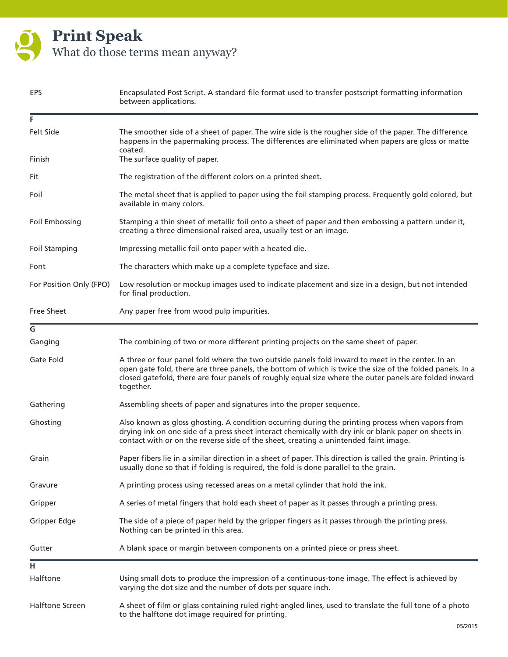

| EPS                     | Encapsulated Post Script. A standard file format used to transfer postscript formatting information<br>between applications.                                                                                                                                                                                                       |
|-------------------------|------------------------------------------------------------------------------------------------------------------------------------------------------------------------------------------------------------------------------------------------------------------------------------------------------------------------------------|
| F                       |                                                                                                                                                                                                                                                                                                                                    |
| <b>Felt Side</b>        | The smoother side of a sheet of paper. The wire side is the rougher side of the paper. The difference<br>happens in the papermaking process. The differences are eliminated when papers are gloss or matte<br>coated.                                                                                                              |
| Finish                  | The surface quality of paper.                                                                                                                                                                                                                                                                                                      |
| Fit                     | The registration of the different colors on a printed sheet.                                                                                                                                                                                                                                                                       |
| Foil                    | The metal sheet that is applied to paper using the foil stamping process. Frequently gold colored, but<br>available in many colors.                                                                                                                                                                                                |
| Foil Embossing          | Stamping a thin sheet of metallic foil onto a sheet of paper and then embossing a pattern under it,<br>creating a three dimensional raised area, usually test or an image.                                                                                                                                                         |
| <b>Foil Stamping</b>    | Impressing metallic foil onto paper with a heated die.                                                                                                                                                                                                                                                                             |
| Font                    | The characters which make up a complete typeface and size.                                                                                                                                                                                                                                                                         |
| For Position Only (FPO) | Low resolution or mockup images used to indicate placement and size in a design, but not intended<br>for final production.                                                                                                                                                                                                         |
| Free Sheet              | Any paper free from wood pulp impurities.                                                                                                                                                                                                                                                                                          |
| G                       |                                                                                                                                                                                                                                                                                                                                    |
| Ganging                 | The combining of two or more different printing projects on the same sheet of paper.                                                                                                                                                                                                                                               |
| Gate Fold               | A three or four panel fold where the two outside panels fold inward to meet in the center. In an<br>open gate fold, there are three panels, the bottom of which is twice the size of the folded panels. In a<br>closed gatefold, there are four panels of roughly equal size where the outer panels are folded inward<br>together. |
| Gathering               | Assembling sheets of paper and signatures into the proper sequence.                                                                                                                                                                                                                                                                |
| Ghosting                | Also known as gloss ghosting. A condition occurring during the printing process when vapors from<br>drying ink on one side of a press sheet interact chemically with dry ink or blank paper on sheets in<br>contact with or on the reverse side of the sheet, creating a unintended faint image.                                   |
| Grain                   | Paper fibers lie in a similar direction in a sheet of paper. This direction is called the grain. Printing is<br>usually done so that if folding is required, the fold is done parallel to the grain.                                                                                                                               |
| Gravure                 | A printing process using recessed areas on a metal cylinder that hold the ink.                                                                                                                                                                                                                                                     |
| Gripper                 | A series of metal fingers that hold each sheet of paper as it passes through a printing press.                                                                                                                                                                                                                                     |
| Gripper Edge            | The side of a piece of paper held by the gripper fingers as it passes through the printing press.<br>Nothing can be printed in this area.                                                                                                                                                                                          |
| Gutter                  | A blank space or margin between components on a printed piece or press sheet.                                                                                                                                                                                                                                                      |
| н                       |                                                                                                                                                                                                                                                                                                                                    |
| Halftone                | Using small dots to produce the impression of a continuous-tone image. The effect is achieved by<br>varying the dot size and the number of dots per square inch.                                                                                                                                                                   |
| <b>Halftone Screen</b>  | A sheet of film or glass containing ruled right-angled lines, used to translate the full tone of a photo<br>to the halftone dot image required for printing.                                                                                                                                                                       |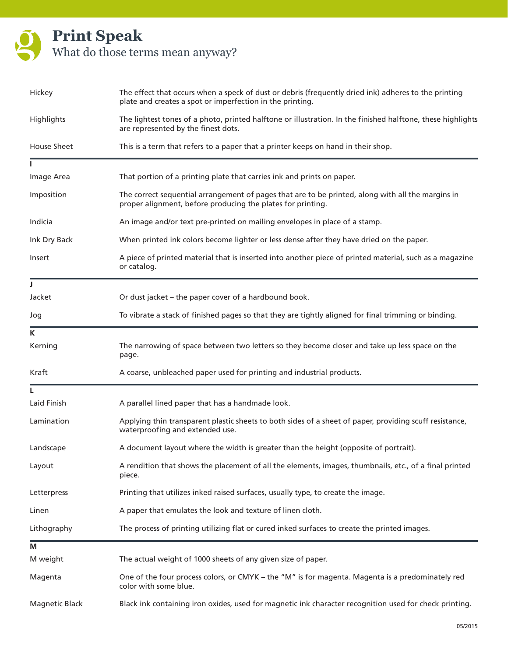| Hickey                | The effect that occurs when a speck of dust or debris (frequently dried ink) adheres to the printing<br>plate and creates a spot or imperfection in the printing. |
|-----------------------|-------------------------------------------------------------------------------------------------------------------------------------------------------------------|
| Highlights            | The lightest tones of a photo, printed halftone or illustration. In the finished halftone, these highlights<br>are represented by the finest dots.                |
| House Sheet           | This is a term that refers to a paper that a printer keeps on hand in their shop.                                                                                 |
|                       |                                                                                                                                                                   |
| Image Area            | That portion of a printing plate that carries ink and prints on paper.                                                                                            |
| Imposition            | The correct sequential arrangement of pages that are to be printed, along with all the margins in<br>proper alignment, before producing the plates for printing.  |
| Indicia               | An image and/or text pre-printed on mailing envelopes in place of a stamp.                                                                                        |
| Ink Dry Back          | When printed ink colors become lighter or less dense after they have dried on the paper.                                                                          |
| Insert                | A piece of printed material that is inserted into another piece of printed material, such as a magazine<br>or catalog.                                            |
| T                     |                                                                                                                                                                   |
| Jacket                | Or dust jacket - the paper cover of a hardbound book.                                                                                                             |
| Jog                   | To vibrate a stack of finished pages so that they are tightly aligned for final trimming or binding.                                                              |
| K                     |                                                                                                                                                                   |
| Kerning               | The narrowing of space between two letters so they become closer and take up less space on the<br>page.                                                           |
| Kraft                 | A coarse, unbleached paper used for printing and industrial products.                                                                                             |
|                       |                                                                                                                                                                   |
| Laid Finish           | A parallel lined paper that has a handmade look.                                                                                                                  |
| Lamination            | Applying thin transparent plastic sheets to both sides of a sheet of paper, providing scuff resistance,<br>waterproofing and extended use.                        |
| Landscape             | A document layout where the width is greater than the height (opposite of portrait).                                                                              |
| Layout                | A rendition that shows the placement of all the elements, images, thumbnails, etc., of a final printed<br>piece.                                                  |
| Letterpress           | Printing that utilizes inked raised surfaces, usually type, to create the image.                                                                                  |
| Linen                 | A paper that emulates the look and texture of linen cloth.                                                                                                        |
| Lithography           | The process of printing utilizing flat or cured inked surfaces to create the printed images.                                                                      |
| М                     |                                                                                                                                                                   |
| M weight              | The actual weight of 1000 sheets of any given size of paper.                                                                                                      |
| Magenta               | One of the four process colors, or CMYK - the "M" is for magenta. Magenta is a predominately red<br>color with some blue.                                         |
| <b>Magnetic Black</b> | Black ink containing iron oxides, used for magnetic ink character recognition used for check printing.                                                            |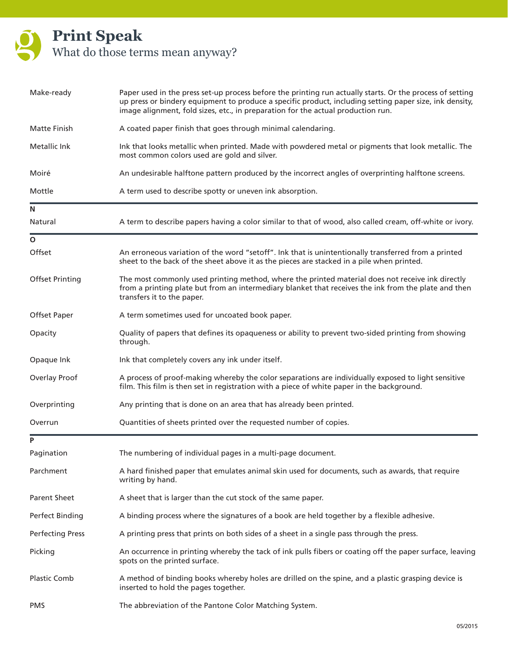| Make-ready              | Paper used in the press set-up process before the printing run actually starts. Or the process of setting<br>up press or bindery equipment to produce a specific product, including setting paper size, ink density,<br>image alignment, fold sizes, etc., in preparation for the actual production run. |
|-------------------------|----------------------------------------------------------------------------------------------------------------------------------------------------------------------------------------------------------------------------------------------------------------------------------------------------------|
| <b>Matte Finish</b>     | A coated paper finish that goes through minimal calendaring.                                                                                                                                                                                                                                             |
| Metallic Ink            | Ink that looks metallic when printed. Made with powdered metal or pigments that look metallic. The<br>most common colors used are gold and silver.                                                                                                                                                       |
| Moiré                   | An undesirable halftone pattern produced by the incorrect angles of overprinting halftone screens.                                                                                                                                                                                                       |
| Mottle                  | A term used to describe spotty or uneven ink absorption.                                                                                                                                                                                                                                                 |
| N                       |                                                                                                                                                                                                                                                                                                          |
| Natural                 | A term to describe papers having a color similar to that of wood, also called cream, off-white or ivory.                                                                                                                                                                                                 |
| O                       |                                                                                                                                                                                                                                                                                                          |
| Offset                  | An erroneous variation of the word "setoff". Ink that is unintentionally transferred from a printed<br>sheet to the back of the sheet above it as the pieces are stacked in a pile when printed.                                                                                                         |
| <b>Offset Printing</b>  | The most commonly used printing method, where the printed material does not receive ink directly<br>from a printing plate but from an intermediary blanket that receives the ink from the plate and then<br>transfers it to the paper.                                                                   |
| Offset Paper            | A term sometimes used for uncoated book paper.                                                                                                                                                                                                                                                           |
| Opacity                 | Quality of papers that defines its opaqueness or ability to prevent two-sided printing from showing<br>through.                                                                                                                                                                                          |
| Opaque Ink              | Ink that completely covers any ink under itself.                                                                                                                                                                                                                                                         |
| Overlay Proof           | A process of proof-making whereby the color separations are individually exposed to light sensitive<br>film. This film is then set in registration with a piece of white paper in the background.                                                                                                        |
| Overprinting            | Any printing that is done on an area that has already been printed.                                                                                                                                                                                                                                      |
| Overrun                 | Quantities of sheets printed over the requested number of copies.                                                                                                                                                                                                                                        |
| P                       |                                                                                                                                                                                                                                                                                                          |
| Pagination              | The numbering of individual pages in a multi-page document.                                                                                                                                                                                                                                              |
| Parchment               | A hard finished paper that emulates animal skin used for documents, such as awards, that require<br>writing by hand.                                                                                                                                                                                     |
| Parent Sheet            | A sheet that is larger than the cut stock of the same paper.                                                                                                                                                                                                                                             |
| Perfect Binding         | A binding process where the signatures of a book are held together by a flexible adhesive.                                                                                                                                                                                                               |
| <b>Perfecting Press</b> | A printing press that prints on both sides of a sheet in a single pass through the press.                                                                                                                                                                                                                |
| Picking                 | An occurrence in printing whereby the tack of ink pulls fibers or coating off the paper surface, leaving<br>spots on the printed surface.                                                                                                                                                                |
| <b>Plastic Comb</b>     | A method of binding books whereby holes are drilled on the spine, and a plastic grasping device is<br>inserted to hold the pages together.                                                                                                                                                               |
| <b>PMS</b>              | The abbreviation of the Pantone Color Matching System.                                                                                                                                                                                                                                                   |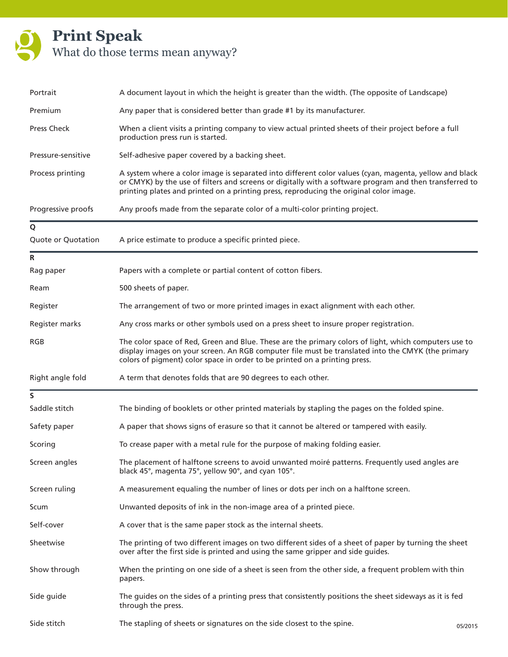| Portrait           | A document layout in which the height is greater than the width. (The opposite of Landscape)                                                                                                                                                                                                                |         |
|--------------------|-------------------------------------------------------------------------------------------------------------------------------------------------------------------------------------------------------------------------------------------------------------------------------------------------------------|---------|
| Premium            | Any paper that is considered better than grade #1 by its manufacturer.                                                                                                                                                                                                                                      |         |
| <b>Press Check</b> | When a client visits a printing company to view actual printed sheets of their project before a full<br>production press run is started.                                                                                                                                                                    |         |
| Pressure-sensitive | Self-adhesive paper covered by a backing sheet.                                                                                                                                                                                                                                                             |         |
| Process printing   | A system where a color image is separated into different color values (cyan, magenta, yellow and black<br>or CMYK) by the use of filters and screens or digitally with a software program and then transferred to<br>printing plates and printed on a printing press, reproducing the original color image. |         |
| Progressive proofs | Any proofs made from the separate color of a multi-color printing project.                                                                                                                                                                                                                                  |         |
| Q                  |                                                                                                                                                                                                                                                                                                             |         |
| Quote or Quotation | A price estimate to produce a specific printed piece.                                                                                                                                                                                                                                                       |         |
| R                  |                                                                                                                                                                                                                                                                                                             |         |
| Rag paper          | Papers with a complete or partial content of cotton fibers.                                                                                                                                                                                                                                                 |         |
| Ream               | 500 sheets of paper.                                                                                                                                                                                                                                                                                        |         |
| Register           | The arrangement of two or more printed images in exact alignment with each other.                                                                                                                                                                                                                           |         |
| Register marks     | Any cross marks or other symbols used on a press sheet to insure proper registration.                                                                                                                                                                                                                       |         |
| <b>RGB</b>         | The color space of Red, Green and Blue. These are the primary colors of light, which computers use to<br>display images on your screen. An RGB computer file must be translated into the CMYK (the primary<br>colors of pigment) color space in order to be printed on a printing press.                    |         |
| Right angle fold   | A term that denotes folds that are 90 degrees to each other.                                                                                                                                                                                                                                                |         |
| S                  |                                                                                                                                                                                                                                                                                                             |         |
| Saddle stitch      | The binding of booklets or other printed materials by stapling the pages on the folded spine.                                                                                                                                                                                                               |         |
| Safety paper       | A paper that shows signs of erasure so that it cannot be altered or tampered with easily.                                                                                                                                                                                                                   |         |
| Scoring            | To crease paper with a metal rule for the purpose of making folding easier.                                                                                                                                                                                                                                 |         |
| Screen angles      | The placement of halftone screens to avoid unwanted moiré patterns. Frequently used angles are<br>black 45°, magenta 75°, yellow 90°, and cyan 105°.                                                                                                                                                        |         |
| Screen ruling      | A measurement equaling the number of lines or dots per inch on a halftone screen.                                                                                                                                                                                                                           |         |
| Scum               | Unwanted deposits of ink in the non-image area of a printed piece.                                                                                                                                                                                                                                          |         |
| Self-cover         | A cover that is the same paper stock as the internal sheets.                                                                                                                                                                                                                                                |         |
| Sheetwise          | The printing of two different images on two different sides of a sheet of paper by turning the sheet<br>over after the first side is printed and using the same gripper and side guides.                                                                                                                    |         |
| Show through       | When the printing on one side of a sheet is seen from the other side, a frequent problem with thin<br>papers.                                                                                                                                                                                               |         |
| Side guide         | The guides on the sides of a printing press that consistently positions the sheet sideways as it is fed<br>through the press.                                                                                                                                                                               |         |
| Side stitch        | The stapling of sheets or signatures on the side closest to the spine.                                                                                                                                                                                                                                      | 05/2015 |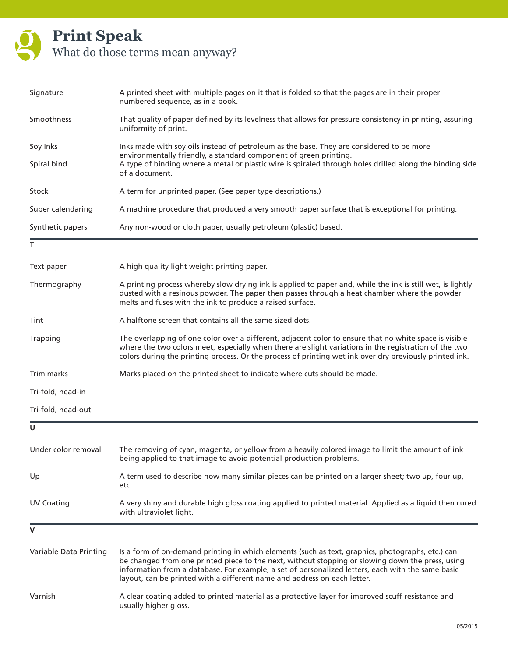| Signature              | A printed sheet with multiple pages on it that is folded so that the pages are in their proper<br>numbered sequence, as in a book.                                                                                                                                                                                                                                                     |
|------------------------|----------------------------------------------------------------------------------------------------------------------------------------------------------------------------------------------------------------------------------------------------------------------------------------------------------------------------------------------------------------------------------------|
| Smoothness             | That quality of paper defined by its levelness that allows for pressure consistency in printing, assuring<br>uniformity of print.                                                                                                                                                                                                                                                      |
| Soy Inks               | Inks made with soy oils instead of petroleum as the base. They are considered to be more                                                                                                                                                                                                                                                                                               |
| Spiral bind            | environmentally friendly, a standard component of green printing.<br>A type of binding where a metal or plastic wire is spiraled through holes drilled along the binding side<br>of a document.                                                                                                                                                                                        |
| Stock                  | A term for unprinted paper. (See paper type descriptions.)                                                                                                                                                                                                                                                                                                                             |
| Super calendaring      | A machine procedure that produced a very smooth paper surface that is exceptional for printing.                                                                                                                                                                                                                                                                                        |
| Synthetic papers       | Any non-wood or cloth paper, usually petroleum (plastic) based.                                                                                                                                                                                                                                                                                                                        |
| т                      |                                                                                                                                                                                                                                                                                                                                                                                        |
| Text paper             | A high quality light weight printing paper.                                                                                                                                                                                                                                                                                                                                            |
| Thermography           | A printing process whereby slow drying ink is applied to paper and, while the ink is still wet, is lightly<br>dusted with a resinous powder. The paper then passes through a heat chamber where the powder<br>melts and fuses with the ink to produce a raised surface.                                                                                                                |
| Tint                   | A halftone screen that contains all the same sized dots.                                                                                                                                                                                                                                                                                                                               |
| Trapping               | The overlapping of one color over a different, adjacent color to ensure that no white space is visible<br>where the two colors meet, especially when there are slight variations in the registration of the two<br>colors during the printing process. Or the process of printing wet ink over dry previously printed ink.                                                             |
| Trim marks             | Marks placed on the printed sheet to indicate where cuts should be made.                                                                                                                                                                                                                                                                                                               |
| Tri-fold, head-in      |                                                                                                                                                                                                                                                                                                                                                                                        |
| Tri-fold, head-out     |                                                                                                                                                                                                                                                                                                                                                                                        |
| U                      |                                                                                                                                                                                                                                                                                                                                                                                        |
| Under color removal    | The removing of cyan, magenta, or yellow from a heavily colored image to limit the amount of ink<br>being applied to that image to avoid potential production problems.                                                                                                                                                                                                                |
| Up                     | A term used to describe how many similar pieces can be printed on a larger sheet; two up, four up,<br>etc.                                                                                                                                                                                                                                                                             |
| <b>UV Coating</b>      | A very shiny and durable high gloss coating applied to printed material. Applied as a liquid then cured<br>with ultraviolet light.                                                                                                                                                                                                                                                     |
| V                      |                                                                                                                                                                                                                                                                                                                                                                                        |
| Variable Data Printing | Is a form of on-demand printing in which elements (such as text, graphics, photographs, etc.) can<br>be changed from one printed piece to the next, without stopping or slowing down the press, using<br>information from a database. For example, a set of personalized letters, each with the same basic<br>layout, can be printed with a different name and address on each letter. |
| Varnish                | A clear coating added to printed material as a protective layer for improved scuff resistance and<br>usually higher gloss.                                                                                                                                                                                                                                                             |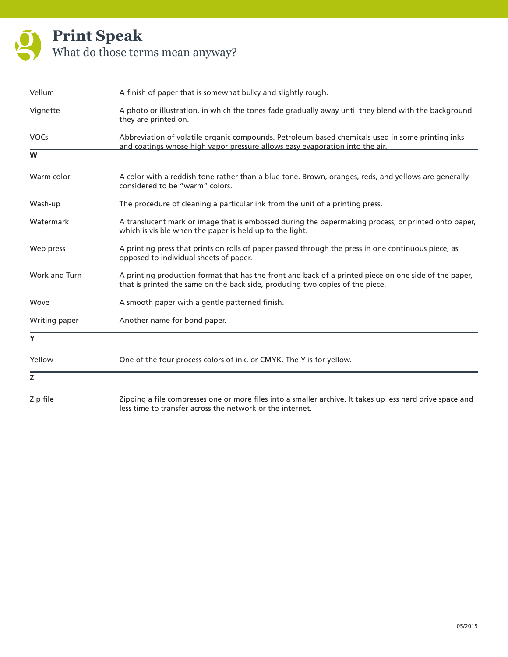

| Vellum        | A finish of paper that is somewhat bulky and slightly rough.                                                                                                                           |
|---------------|----------------------------------------------------------------------------------------------------------------------------------------------------------------------------------------|
| Vignette      | A photo or illustration, in which the tones fade gradually away until they blend with the background<br>they are printed on.                                                           |
| <b>VOCs</b>   | Abbreviation of volatile organic compounds. Petroleum based chemicals used in some printing inks<br>and coatings whose high vapor pressure allows easy evaporation into the air.       |
| W             |                                                                                                                                                                                        |
| Warm color    | A color with a reddish tone rather than a blue tone. Brown, oranges, reds, and yellows are generally<br>considered to be "warm" colors.                                                |
| Wash-up       | The procedure of cleaning a particular ink from the unit of a printing press.                                                                                                          |
| Watermark     | A translucent mark or image that is embossed during the papermaking process, or printed onto paper,<br>which is visible when the paper is held up to the light.                        |
| Web press     | A printing press that prints on rolls of paper passed through the press in one continuous piece, as<br>opposed to individual sheets of paper.                                          |
| Work and Turn | A printing production format that has the front and back of a printed piece on one side of the paper,<br>that is printed the same on the back side, producing two copies of the piece. |
| Wove          | A smooth paper with a gentle patterned finish.                                                                                                                                         |
| Writing paper | Another name for bond paper.                                                                                                                                                           |
| Y             |                                                                                                                                                                                        |
| Yellow        | One of the four process colors of ink, or CMYK. The Y is for yellow.                                                                                                                   |
| Z             |                                                                                                                                                                                        |
| Zip file      | Zipping a file compresses one or more files into a smaller archive. It takes up less hard drive space and<br>less time to transfer across the network or the internet.                 |